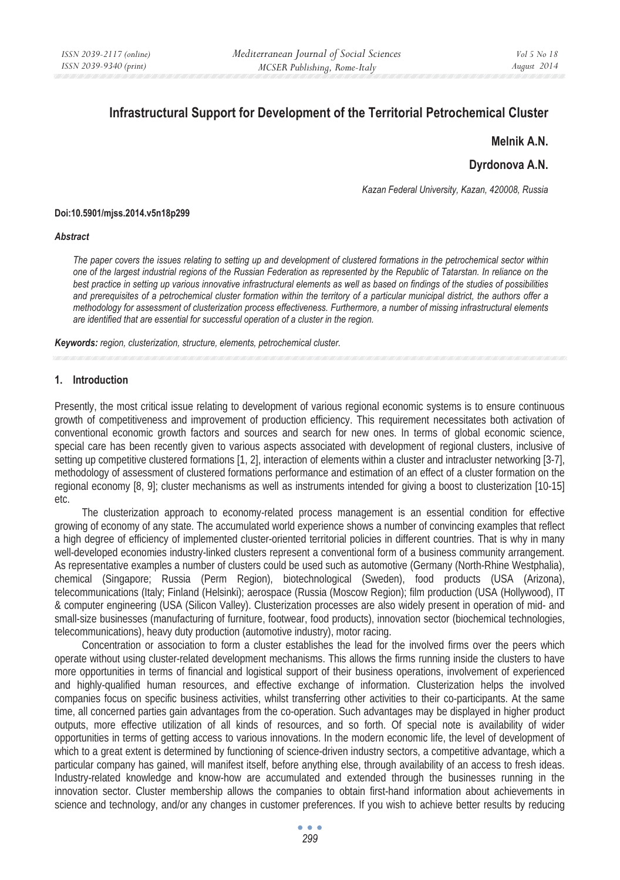# **Infrastructural Support for Development of the Territorial Petrochemical Cluster**

# **Melnik A.N.**

# **Dyrdonova A.N.**

*Kazan Federal University, Kazan, 420008, Russia* 

#### **Doi:10.5901/mjss.2014.v5n18p299**

#### *Abstract*

*The paper covers the issues relating to setting up and development of clustered formations in the petrochemical sector within one of the largest industrial regions of the Russian Federation as represented by the Republic of Tatarstan. In reliance on the best practice in setting up various innovative infrastructural elements as well as based on findings of the studies of possibilities and prerequisites of a petrochemical cluster formation within the territory of a particular municipal district, the authors offer a methodology for assessment of clusterization process effectiveness. Furthermore, a number of missing infrastructural elements are identified that are essential for successful operation of a cluster in the region.* 

*Keywords: region, clusterization, structure, elements, petrochemical cluster.*

#### **1. Introduction**

Presently, the most critical issue relating to development of various regional economic systems is to ensure continuous growth of competitiveness and improvement of production efficiency. This requirement necessitates both activation of conventional economic growth factors and sources and search for new ones. In terms of global economic science, special care has been recently given to various aspects associated with development of regional clusters, inclusive of setting up competitive clustered formations [1, 2], interaction of elements within a cluster and intracluster networking [3-7], methodology of assessment of clustered formations performance and estimation of an effect of a cluster formation on the regional economy [8, 9]; cluster mechanisms as well as instruments intended for giving a boost to clusterization [10-15] etc.

The clusterization approach to economy-related process management is an essential condition for effective growing of economy of any state. The accumulated world experience shows a number of convincing examples that reflect a high degree of efficiency of implemented cluster-oriented territorial policies in different countries. That is why in many well-developed economies industry-linked clusters represent a conventional form of a business community arrangement. As representative examples a number of clusters could be used such as automotive (Germany (North-Rhine Westphalia), chemical (Singapore; Russia (Perm Region), biotechnological (Sweden), food products (USA (Arizona), telecommunications (Italy; Finland (Helsinki); aerospace (Russia (Moscow Region); film production (USA (Hollywood), IT & computer engineering (USA (Silicon Valley). Clusterization processes are also widely present in operation of mid- and small-size businesses (manufacturing of furniture, footwear, food products), innovation sector (biochemical technologies, telecommunications), heavy duty production (automotive industry), motor racing.

Concentration or association to form a cluster establishes the lead for the involved firms over the peers which operate without using cluster-related development mechanisms. This allows the firms running inside the clusters to have more opportunities in terms of financial and logistical support of their business operations, involvement of experienced and highly-qualified human resources, and effective exchange of information. Clusterization helps the involved companies focus on specific business activities, whilst transferring other activities to their co-participants. At the same time, all concerned parties gain advantages from the co-operation. Such advantages may be displayed in higher product outputs, more effective utilization of all kinds of resources, and so forth. Of special note is availability of wider opportunities in terms of getting access to various innovations. In the modern economic life, the level of development of which to a great extent is determined by functioning of science-driven industry sectors, a competitive advantage, which a particular company has gained, will manifest itself, before anything else, through availability of an access to fresh ideas. Industry-related knowledge and know-how are accumulated and extended through the businesses running in the innovation sector. Cluster membership allows the companies to obtain first-hand information about achievements in science and technology, and/or any changes in customer preferences. If you wish to achieve better results by reducing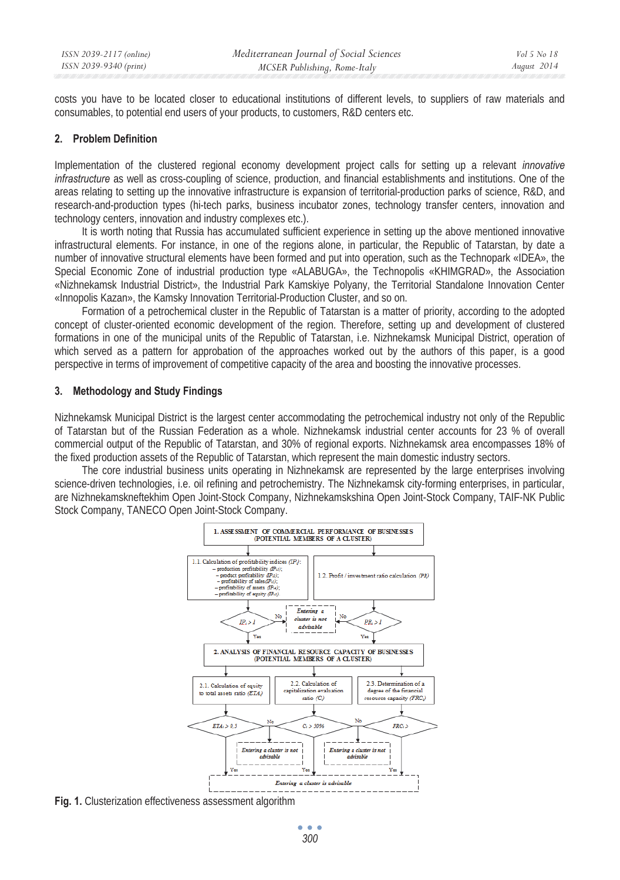costs you have to be located closer to educational institutions of different levels, to suppliers of raw materials and consumables, to potential end users of your products, to customers, R&D centers etc.

### **2. Problem Definition**

Implementation of the clustered regional economy development project calls for setting up a relevant *innovative infrastructure* as well as cross-coupling of science, production, and financial establishments and institutions. One of the areas relating to setting up the innovative infrastructure is expansion of territorial-production parks of science, R&D, and research-and-production types (hi-tech parks, business incubator zones, technology transfer centers, innovation and technology centers, innovation and industry complexes etc.).

It is worth noting that Russia has accumulated sufficient experience in setting up the above mentioned innovative infrastructural elements. For instance, in one of the regions alone, in particular, the Republic of Tatarstan, by date a number of innovative structural elements have been formed and put into operation, such as the Technopark «IDEA», the Special Economic Zone of industrial production type «ALABUGA», the Technopolis «KHIMGRAD», the Association «Nizhnekamsk Industrial District», the Industrial Park Kamskiye Polyany, the Territorial Standalone Innovation Center «Innopolis Kazan», the Kamsky Innovation Territorial-Production Cluster, and so on.

Formation of a petrochemical cluster in the Republic of Tatarstan is a matter of priority, according to the adopted concept of cluster-oriented economic development of the region. Therefore, setting up and development of clustered formations in one of the municipal units of the Republic of Tatarstan, i.e. Nizhnekamsk Municipal District, operation of which served as a pattern for approbation of the approaches worked out by the authors of this paper, is a good perspective in terms of improvement of competitive capacity of the area and boosting the innovative processes.

# **3. Methodology and Study Findings**

Nizhnekamsk Municipal District is the largest center accommodating the petrochemical industry not only of the Republic of Tatarstan but of the Russian Federation as a whole. Nizhnekamsk industrial center accounts for 23 % of overall commercial output of the Republic of Tatarstan, and 30% of regional exports. Nizhnekamsk area encompasses 18% of the fixed production assets of the Republic of Tatarstan, which represent the main domestic industry sectors.

The core industrial business units operating in Nizhnekamsk are represented by the large enterprises involving science-driven technologies, i.e. oil refining and petrochemistry. The Nizhnekamsk city-forming enterprises, in particular, are Nizhnekamskneftekhim Open Joint-Stock Company, Nizhnekamskshina Open Joint-Stock Company, TAIF-NK Public Stock Company, TANECO Open Joint-Stock Company.



**Fig. 1.** Clusterization effectiveness assessment algorithm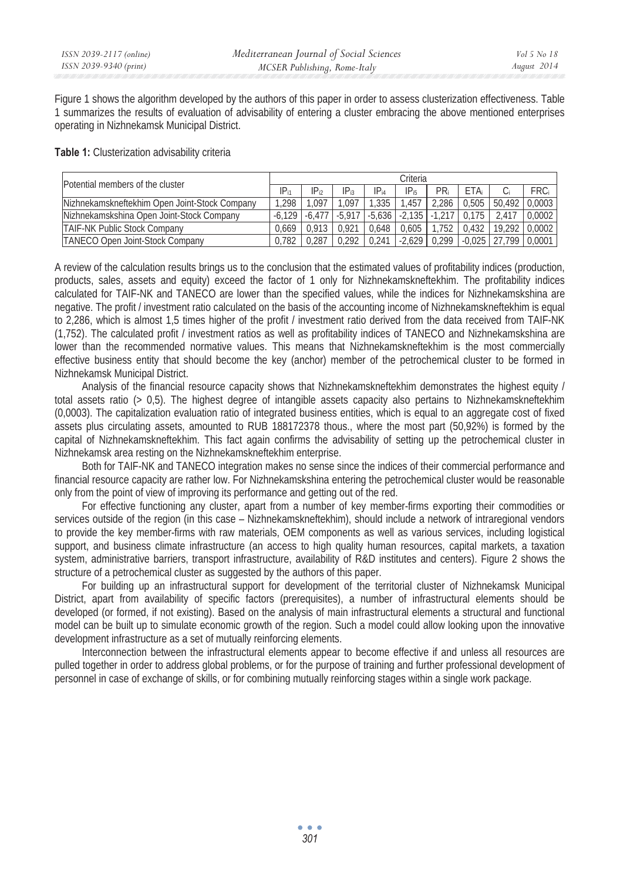Figure 1 shows the algorithm developed by the authors of this paper in order to assess clusterization effectiveness. Table 1 summarizes the results of evaluation of advisability of entering a cluster embracing the above mentioned enterprises operating in Nizhnekamsk Municipal District.

## **Table 1:** Clusterization advisability criteria

| Potential members of the cluster                      |           | Criteria  |           |           |           |        |          |        |        |  |
|-------------------------------------------------------|-----------|-----------|-----------|-----------|-----------|--------|----------|--------|--------|--|
|                                                       | $IP_{i1}$ | $IP_{12}$ | $IP_{13}$ | $IP_{i4}$ | $IP_{i5}$ | PRi    | ETA:     |        | FRC    |  |
| <b>INizhnekamskneftekhim Open Joint-Stock Company</b> | .298      | .097      | $.09^{-}$ | .335      | .457      | 2.286  | 0.505    | 50.492 | 0.0003 |  |
| <b>INizhnekamskshina Open Joint-Stock Company</b>     | $-6.129$  | $-6.477$  | $-5.91$   | $-5.636$  | $-2.135$  |        |          |        | 0.0002 |  |
| <b>TAIF-NK Public Stock Company</b>                   | 0.669     | 0.913     |           | .648      | 0.605     | 752    | 0.432    |        | 0.0002 |  |
| <b>TANECO Open Joint-Stock Company</b>                | 0.782     | 0.287     | 0.292     | 0.241     | $-2.629$  | 10.299 | $-0.025$ |        | 0.0007 |  |

A review of the calculation results brings us to the conclusion that the estimated values of profitability indices (production, products, sales, assets and equity) exceed the factor of 1 only for Nizhnekamskneftekhim. The profitability indices calculated for TAIF-NK and TANECO are lower than the specified values, while the indices for Nizhnekamskshina are negative. The profit / investment ratio calculated on the basis of the accounting income of Nizhnekamskneftekhim is equal to 2,286, which is almost 1,5 times higher of the profit / investment ratio derived from the data received from TAIF-NK (1,752). The calculated profit / investment ratios as well as profitability indices of TANECO and Nizhnekamskshina are lower than the recommended normative values. This means that Nizhnekamskneftekhim is the most commercially effective business entity that should become the key (anchor) member of the petrochemical cluster to be formed in Nizhnekamsk Municipal District.

Analysis of the financial resource capacity shows that Nizhnekamskneftekhim demonstrates the highest equity / total assets ratio (> 0,5). The highest degree of intangible assets capacity also pertains to Nizhnekamskneftekhim (0,0003). The capitalization evaluation ratio of integrated business entities, which is equal to an aggregate cost of fixed assets plus circulating assets, amounted to RUB 188172378 thous., where the most part (50,92%) is formed by the capital of Nizhnekamskneftekhim. This fact again confirms the advisability of setting up the petrochemical cluster in Nizhnekamsk area resting on the Nizhnekamskneftekhim enterprise.

Both for TAIF-NK and TANECO integration makes no sense since the indices of their commercial performance and financial resource capacity are rather low. For Nizhnekamskshina entering the petrochemical cluster would be reasonable only from the point of view of improving its performance and getting out of the red.

For effective functioning any cluster, apart from a number of key member-firms exporting their commodities or services outside of the region (in this case – Nizhnekamskneftekhim), should include a network of intraregional vendors to provide the key member-firms with raw materials, OEM components as well as various services, including logistical support, and business climate infrastructure (an access to high quality human resources, capital markets, a taxation system, administrative barriers, transport infrastructure, availability of R&D institutes and centers). Figure 2 shows the structure of a petrochemical cluster as suggested by the authors of this paper.

For building up an infrastructural support for development of the territorial cluster of Nizhnekamsk Municipal District, apart from availability of specific factors (prerequisites), a number of infrastructural elements should be developed (or formed, if not existing). Based on the analysis of main infrastructural elements a structural and functional model can be built up to simulate economic growth of the region. Such a model could allow looking upon the innovative development infrastructure as a set of mutually reinforcing elements.

Interconnection between the infrastructural elements appear to become effective if and unless all resources are pulled together in order to address global problems, or for the purpose of training and further professional development of personnel in case of exchange of skills, or for combining mutually reinforcing stages within a single work package.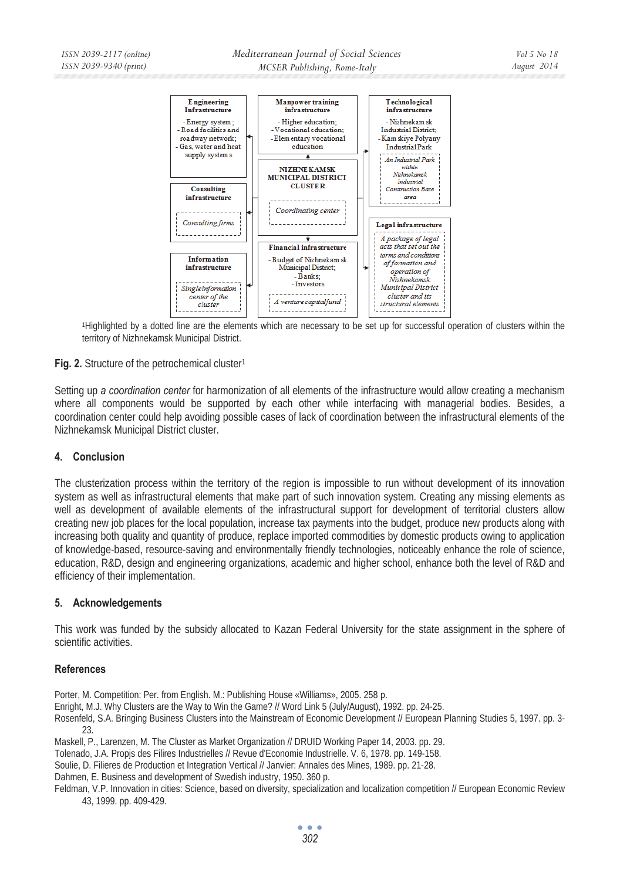

1Highlighted by a dotted line are the elements which are necessary to be set up for successful operation of clusters within the territory of Nizhnekamsk Municipal District.

# **Fig. 2.** Structure of the petrochemical cluster<sup>1</sup>

Setting up *a coordination center* for harmonization of all elements of the infrastructure would allow creating a mechanism where all components would be supported by each other while interfacing with managerial bodies. Besides, a coordination center could help avoiding possible cases of lack of coordination between the infrastructural elements of the Nizhnekamsk Municipal District cluster.

# **4. Conclusion**

The clusterization process within the territory of the region is impossible to run without development of its innovation system as well as infrastructural elements that make part of such innovation system. Creating any missing elements as well as development of available elements of the infrastructural support for development of territorial clusters allow creating new job places for the local population, increase tax payments into the budget, produce new products along with increasing both quality and quantity of produce, replace imported commodities by domestic products owing to application of knowledge-based, resource-saving and environmentally friendly technologies, noticeably enhance the role of science, education, R&D, design and engineering organizations, academic and higher school, enhance both the level of R&D and efficiency of their implementation.

## **5. Acknowledgements**

This work was funded by the subsidy allocated to Kazan Federal University for the state assignment in the sphere of scientific activities.

## **References**

Porter, M. Competition: Per. from English. M.: Publishing House «Williams», 2005. 258 p.

Enright, M.J. Why Clusters are the Way to Win the Game? // Word Link 5 (July/August), 1992. pp. 24-25.

Rosenfeld, S.A. Bringing Business Clusters into the Mainstream of Economic Development // European Planning Studies 5, 1997. pp. 3- 23.

Maskell, P., Larenzen, M. The Cluster as Market Organization // DRUID Working Paper 14, 2003. pp. 29.

Tolenado, J.A. Propjs des Filires Industrielles // Revue d'Economie Industrielle. V. 6, 1978. pp. 149-158.

Soulie, D. Filieres de Production et Integration Vertical // Janvier: Annales des Mines, 1989. pp. 21-28.

Dahmen, E. Business and development of Swedish industry, 1950. 360 p.

Feldman, V.P. Innovation in cities: Science, based on diversity, specialization and localization competition // European Economic Review 43, 1999. pp. 409-429.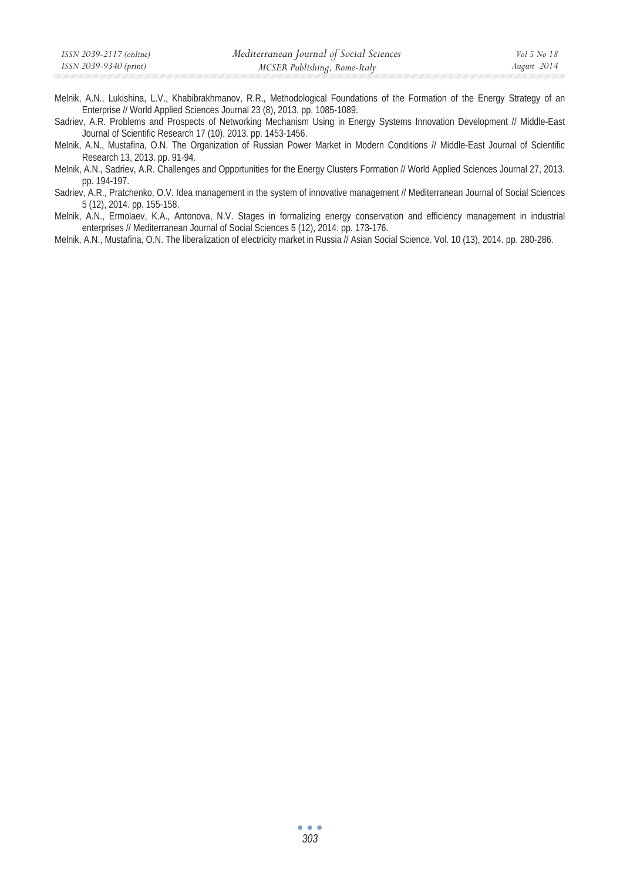| ISSN 2039-2117 (online) | Mediterranean Journal of Social Sciences | Vol 5 No 18 |
|-------------------------|------------------------------------------|-------------|
| ISSN 2039-9340 (print)  | MCSER Publishing, Rome-Italy             | August 2014 |

- Melnik, A.N., Lukishina, L.V., Khabibrakhmanov, R.R., Methodological Foundations of the Formation of the Energy Strategy of an Enterprise // World Applied Sciences Journal 23 (8), 2013. pp. 1085-1089.
- Sadriev, A.R. Problems and Prospects of Networking Mechanism Using in Energy Systems Innovation Development // Middle-East Journal of Scientific Research 17 (10), 2013. pp. 1453-1456.
- Melnik, A.N., Mustafina, O.N. The Organization of Russian Power Market in Modern Conditions // Middle-East Journal of Scientific Research 13, 2013. pp. 91-94.
- Melnik, A.N., Sadriev, A.R. Challenges and Opportunities for the Energy Clusters Formation // World Applied Sciences Journal 27, 2013. pp. 194-197.
- Sadriev, A.R., Pratchenko, O.V. Idea management in the system of innovative management // Mediterranean Journal of Social Sciences 5 (12), 2014. pp. 155-158.
- Melnik, A.N., Ermolaev, K.A., Antonova, N.V. Stages in formalizing energy conservation and efficiency management in industrial enterprises // Mediterranean Journal of Social Sciences 5 (12), 2014. pp. 173-176.
- Melnik, A.N., Mustafina, O.N. The liberalization of electricity market in Russia // Asian Social Science. Vol. 10 (13), 2014. pp. 280-286.